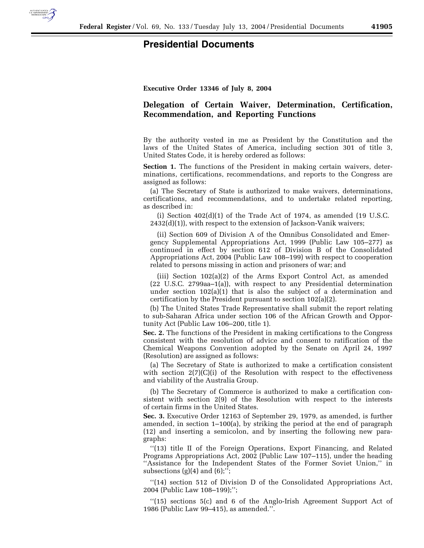

## **Presidential Documents**

**Executive Order 13346 of July 8, 2004**

## **Delegation of Certain Waiver, Determination, Certification, Recommendation, and Reporting Functions**

By the authority vested in me as President by the Constitution and the laws of the United States of America, including section 301 of title 3, United States Code, it is hereby ordered as follows:

**Section 1.** The functions of the President in making certain waivers, determinations, certifications, recommendations, and reports to the Congress are assigned as follows:

(a) The Secretary of State is authorized to make waivers, determinations, certifications, and recommendations, and to undertake related reporting, as described in:

(i) Section 402(d)(1) of the Trade Act of 1974, as amended (19 U.S.C. 2432(d)(1)), with respect to the extension of Jackson-Vanik waivers;

(ii) Section 609 of Division A of the Omnibus Consolidated and Emergency Supplemental Appropriations Act, 1999 (Public Law 105–277) as continued in effect by section 612 of Division B of the Consolidated Appropriations Act, 2004 (Public Law 108–199) with respect to cooperation related to persons missing in action and prisoners of war; and

(iii) Section 102(a)(2) of the Arms Export Control Act, as amended (22 U.S.C. 2799aa–1(a)), with respect to any Presidential determination under section  $102(a)(1)$  that is also the subject of a determination and certification by the President pursuant to section 102(a)(2).

(b) The United States Trade Representative shall submit the report relating to sub-Saharan Africa under section 106 of the African Growth and Opportunity Act (Public Law 106–200, title 1).

**Sec. 2.** The functions of the President in making certifications to the Congress consistent with the resolution of advice and consent to ratification of the Chemical Weapons Convention adopted by the Senate on April 24, 1997 (Resolution) are assigned as follows:

(a) The Secretary of State is authorized to make a certification consistent with section  $2(7)(C)(i)$  of the Resolution with respect to the effectiveness and viability of the Australia Group.

(b) The Secretary of Commerce is authorized to make a certification consistent with section 2(9) of the Resolution with respect to the interests of certain firms in the United States.

**Sec. 3.** Executive Order 12163 of September 29, 1979, as amended, is further amended, in section 1–100(a), by striking the period at the end of paragraph (12) and inserting a semicolon, and by inserting the following new paragraphs:

"(13) title II of the Foreign Operations, Export Financing, and Related Programs Appropriations Act, 2002 (Public Law 107–115), under the heading ''Assistance for the Independent States of the Former Soviet Union,'' in subsections  $(g)(4)$  and  $(6)$ ;";

''(14) section 512 of Division D of the Consolidated Appropriations Act, 2004 (Public Law 108–199);'';

''(15) sections 5(c) and 6 of the Anglo-Irish Agreement Support Act of 1986 (Public Law 99–415), as amended.''.